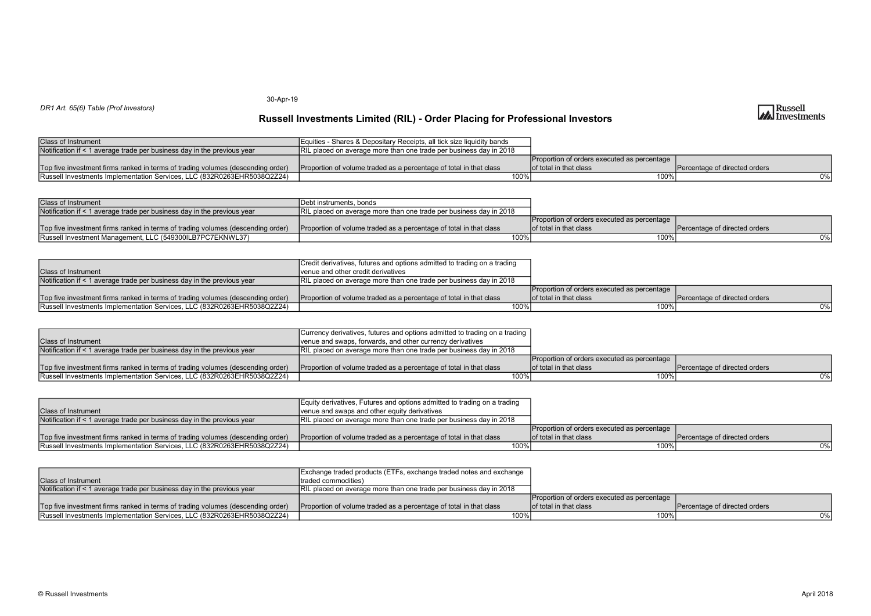30-Apr-19

### DR1 Art. 65(6) Table (Prof Investors)

| <b>Class of Instrument</b>                                                      | Equities - Shares & Depositary Receipts, all tick size liquidity bands     |                                             |                                 |
|---------------------------------------------------------------------------------|----------------------------------------------------------------------------|---------------------------------------------|---------------------------------|
| Notification if < 1 average trade per business day in the previous year         | <b>TRIL placed on average more than one trade per business day in 2018</b> |                                             |                                 |
|                                                                                 |                                                                            | Proportion of orders executed as percentage |                                 |
| Top five investment firms ranked in terms of trading volumes (descending order) | Proportion of volume traded as a percentage of total in that class         | lof total in that class                     | I Percentage of directed orders |
| <b>Russell Investments Implementation Services, LLC (832R0263EHR5038Q2Z24)</b>  | $100\%$                                                                    | $100\%$ .                                   | 0%                              |

| <b>Class of Instrument</b>                                                      | <b>IDebt instruments, bonds</b>                                            |                                                       |                               |
|---------------------------------------------------------------------------------|----------------------------------------------------------------------------|-------------------------------------------------------|-------------------------------|
| Notification if < 1 average trade per business day in the previous year         | <b>IRIL placed on average more than one trade per business day in 2018</b> |                                                       |                               |
|                                                                                 |                                                                            | Proportion of orders executed as percentage           |                               |
| Top five investment firms ranked in terms of trading volumes (descending order) | Proportion of volume traded as a percentage of total in that class         | $\blacksquare$ Iof total in that class $\blacksquare$ | Percentage of directed orders |
| Russell Investment Management, LLC (549300ILB7PC7EKNWL37)                       |                                                                            | $100\%$                                               | $0\%$                         |

|                                                                                 | Credit derivatives, futures and options admitted to trading on a trading  |                                             |                               |
|---------------------------------------------------------------------------------|---------------------------------------------------------------------------|---------------------------------------------|-------------------------------|
| <b>Class of Instrument</b>                                                      | Ivenue and other credit derivatives                                       |                                             |                               |
| Notification if < 1 average trade per business day in the previous year         | <b>RIL placed on average more than one trade per business day in 2018</b> |                                             |                               |
|                                                                                 |                                                                           | Proportion of orders executed as percentage |                               |
| Top five investment firms ranked in terms of trading volumes (descending order) | Proportion of volume traded as a percentage of total in that class        | lof total in that class                     | Percentage of directed orders |
| <b>Russell Investments Implementation Services, LLC (832R0263EHR5038Q2Z24)</b>  | 100%                                                                      | 100%                                        | 0%                            |

|                                                                                 | Currency derivatives, futures and options admitted to trading on a trading |                                             |                               |
|---------------------------------------------------------------------------------|----------------------------------------------------------------------------|---------------------------------------------|-------------------------------|
| <b>Class of Instrument</b>                                                      | venue and swaps, forwards, and other currency derivatives                  |                                             |                               |
| Notification if < 1 average trade per business day in the previous year         | RIL placed on average more than one trade per business day in 2018         |                                             |                               |
|                                                                                 |                                                                            | Proportion of orders executed as percentage |                               |
| Top five investment firms ranked in terms of trading volumes (descending order) | Proportion of volume traded as a percentage of total in that class         | lof total in that class                     | Percentage of directed orders |
| <b>Russell Investments Implementation Services, LLC (832R0263EHR5038Q2Z24)</b>  | $100\%$                                                                    | 100% i                                      | 0%                            |

|                                                                                 | Equity derivatives, Futures and options admitted to trading on a trading |                                             |                               |
|---------------------------------------------------------------------------------|--------------------------------------------------------------------------|---------------------------------------------|-------------------------------|
| <b>Class of Instrument</b>                                                      | venue and swaps and other equity derivatives                             |                                             |                               |
| Notification if < 1 average trade per business day in the previous year         | IRIL placed on average more than one trade per business day in 2018      |                                             |                               |
|                                                                                 |                                                                          | Proportion of orders executed as percentage |                               |
| Top five investment firms ranked in terms of trading volumes (descending order) | Proportion of volume traded as a percentage of total in that class       | lof total in that class                     | Percentage of directed orders |
| Russell Investments Implementation Services, LLC (832R0263EHR5038Q2Z24)         | 100%                                                                     | 100%                                        | $0\%$                         |

|                                                                                 | Exchange traded products (ETFs, exchange traded notes and exchange |                                             |                               |
|---------------------------------------------------------------------------------|--------------------------------------------------------------------|---------------------------------------------|-------------------------------|
| <b>Class of Instrument</b>                                                      | Itraded commodities)                                               |                                             |                               |
| Notification if < 1 average trade per business day in the previous year         | RIL placed on average more than one trade per business day in 2018 |                                             |                               |
|                                                                                 |                                                                    | Proportion of orders executed as percentage |                               |
| Top five investment firms ranked in terms of trading volumes (descending order) | Proportion of volume traded as a percentage of total in that class | lof total in that class                     | Percentage of directed orders |
| <b>Russell Investments Implementation Services, LLC (832R0263EHR5038Q2Z24)</b>  | 100%                                                               | 100%                                        | 0%                            |

# **Russell**<br>Investments

## Russell Investments Limited (RIL) - Order Placing for Professional Investors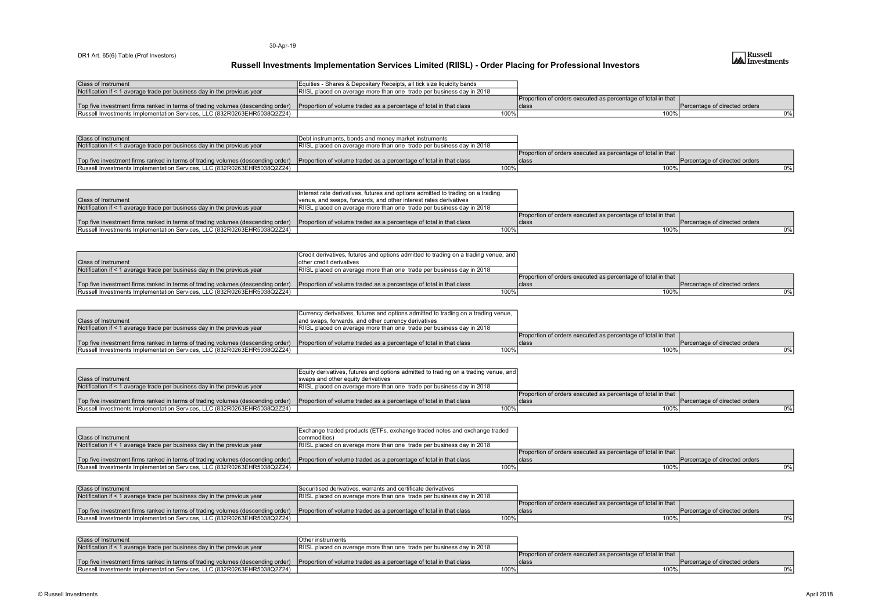#### 30-Apr-19

#### DR1 Art. 65(6) Table (Prof Investors)

| <b>Class of Instrument</b>                                                      | Equities - Shares & Depositary Receipts, all tick size liquidity bands        |                                                              |                                 |
|---------------------------------------------------------------------------------|-------------------------------------------------------------------------------|--------------------------------------------------------------|---------------------------------|
| Notification if < 1 average trade per business day in the previous year         | $\angle$ RIISL placed on average more than one trade per business day in 2018 |                                                              |                                 |
|                                                                                 |                                                                               | Proportion of orders executed as percentage of total in that |                                 |
| Top five investment firms ranked in terms of trading volumes (descending order) | Proportion of volume traded as a percentage of total in that class            | <b>Iclass</b>                                                | I Percentage of directed orders |
| Russell Investments Implementation Services, LLC (832R0263EHR5038Q2Z24)         |                                                                               | $100\%$                                                      | 0% l                            |

| <b>Class of Instrument</b>                                                                                                                         | Debt instruments, bonds and money market instruments                 |                                                              |                               |
|----------------------------------------------------------------------------------------------------------------------------------------------------|----------------------------------------------------------------------|--------------------------------------------------------------|-------------------------------|
| Notification if < 1 average trade per business day in the previous year                                                                            | RIISL placed on average more than one trade per business day in 2018 |                                                              |                               |
|                                                                                                                                                    |                                                                      | Proportion of orders executed as percentage of total in that |                               |
| Top five investment firms ranked in terms of trading volumes (descending order) Proportion of volume traded as a percentage of total in that class |                                                                      | <b>Iclass</b>                                                | Percentage of directed orders |
| Russell Investments Implementation Services, LLC (832R0263EHR5038Q2Z24)                                                                            | 100%                                                                 |                                                              |                               |

|                                                                                 | Interest rate derivatives, futures and options admitted to trading on a trading |                                                              |                               |
|---------------------------------------------------------------------------------|---------------------------------------------------------------------------------|--------------------------------------------------------------|-------------------------------|
| <b>Class of Instrument</b>                                                      | venue, and swaps, forwards, and other interest rates derivatives                |                                                              |                               |
| Notification if < 1 average trade per business day in the previous year         | IRIISL placed on average more than one trade per business day in 2018           |                                                              |                               |
|                                                                                 |                                                                                 | Proportion of orders executed as percentage of total in that |                               |
| Top five investment firms ranked in terms of trading volumes (descending order) | Proportion of volume traded as a percentage of total in that class              | <b>Iclass</b>                                                | Percentage of directed orders |
| <b>Russell Investments Implementation Services, LLC (832R0263EHR5038Q2Z24)</b>  | 100%                                                                            |                                                              | 0%                            |

|                                                                                                                                                    | Credit derivatives, futures and options admitted to trading on a trading venue, and |                                                              |                               |
|----------------------------------------------------------------------------------------------------------------------------------------------------|-------------------------------------------------------------------------------------|--------------------------------------------------------------|-------------------------------|
| IClass of Instrument                                                                                                                               | Tother credit derivatives                                                           |                                                              |                               |
| Notification if < 1 average trade per business day in the previous year                                                                            | <b>IRIISL</b> placed on average more than one trade per business day in 2018        |                                                              |                               |
|                                                                                                                                                    |                                                                                     | Proportion of orders executed as percentage of total in that |                               |
| Top five investment firms ranked in terms of trading volumes (descending order) Proportion of volume traded as a percentage of total in that class |                                                                                     | <b>Iclas</b>                                                 | Percentage of directed orders |
| Russell Investments Implementation Services, LLC (832R0263EHR5038Q2Z24)                                                                            | 100%                                                                                |                                                              |                               |

|                                                                                 | Currency derivatives, futures and options admitted to trading on a trading venue, |                                                              |                               |
|---------------------------------------------------------------------------------|-----------------------------------------------------------------------------------|--------------------------------------------------------------|-------------------------------|
| <b>Class of Instrument</b>                                                      | and swaps, forwards, and other currency derivatives                               |                                                              |                               |
| Notification if < 1 average trade per business day in the previous year         | <b>RISL</b> placed on average more than one trade per business day in 2018        |                                                              |                               |
|                                                                                 |                                                                                   | Proportion of orders executed as percentage of total in that |                               |
| Top five investment firms ranked in terms of trading volumes (descending order) | Proportion of volume traded as a percentage of total in that class                | class                                                        | Percentage of directed orders |
| <b>Russell Investments Implementation Services. LLC (832R0263EHR5038Q2Z24)</b>  | $100\%$                                                                           |                                                              |                               |

|                                                                                                                                                     | Equity derivatives, futures and options admitted to trading on a trading venue, and |                                                              |                               |
|-----------------------------------------------------------------------------------------------------------------------------------------------------|-------------------------------------------------------------------------------------|--------------------------------------------------------------|-------------------------------|
| <b>Class of Instrument</b>                                                                                                                          | I swaps and other equity derivatives                                                |                                                              |                               |
| Notification if < 1 average trade per business day in the previous year                                                                             | RIISL placed on average more than one trade per business day in 2018                |                                                              |                               |
|                                                                                                                                                     |                                                                                     | Proportion of orders executed as percentage of total in that |                               |
| Top five investment firms ranked in terms of trading volumes (descending order) (Proportion of volume traded as a percentage of total in that class |                                                                                     | class                                                        | Percentage of directed orders |
| Russell Investments Implementation Services, LLC (832R0263EHR5038Q2Z24)                                                                             | 100%                                                                                | 100%                                                         | 0%                            |

|                                                                                 | Exchange traded products (ETFs, exchange traded notes and exchange traded |                                                              |                               |
|---------------------------------------------------------------------------------|---------------------------------------------------------------------------|--------------------------------------------------------------|-------------------------------|
| <b>Class of Instrument</b>                                                      | (commodities                                                              |                                                              |                               |
| Notification if < 1 average trade per business day in the previous year         | RIISL placed on average more than one trade per business day in 2018      |                                                              |                               |
|                                                                                 |                                                                           | Proportion of orders executed as percentage of total in that |                               |
| Top five investment firms ranked in terms of trading volumes (descending order) | Proportion of volume traded as a percentage of total in that class        | <b>Iclass</b>                                                | Percentage of directed orders |
| <b>Russell Investments Implementation Services, LLC (832R0263EHR5038Q2Z24)</b>  | 100%                                                                      |                                                              |                               |

| Class of Instrument                                                                                                                                | Securitised derivatives, warrants and certificate derivatives        |                                                              |                               |
|----------------------------------------------------------------------------------------------------------------------------------------------------|----------------------------------------------------------------------|--------------------------------------------------------------|-------------------------------|
| Notification if < 1 average trade per business day in the previous year                                                                            | RIISL placed on average more than one trade per business day in 2018 |                                                              |                               |
|                                                                                                                                                    |                                                                      | Proportion of orders executed as percentage of total in that |                               |
| Top five investment firms ranked in terms of trading volumes (descending order) Proportion of volume traded as a percentage of total in that class |                                                                      | ାclas⊾                                                       | Percentage of directed orders |
| Russell Investments Implementation Services, LLC (832R0263EHR5038Q2Z24)                                                                            | 100%                                                                 |                                                              |                               |

| <b>Class of Instrument</b>                                                                                                                         | <b>IOther instruments</b>                                            |                                                              |                                |
|----------------------------------------------------------------------------------------------------------------------------------------------------|----------------------------------------------------------------------|--------------------------------------------------------------|--------------------------------|
| Notification if < 1 average trade per business day in the previous year                                                                            | RIISL placed on average more than one trade per business day in 2018 |                                                              |                                |
|                                                                                                                                                    |                                                                      | Proportion of orders executed as percentage of total in that |                                |
| Top five investment firms ranked in terms of trading volumes (descending order) Proportion of volume traded as a percentage of total in that class |                                                                      | class                                                        | IPercentage of directed orders |
| <b>Russell Investments Implementation Services, LLC (832R0263EHR5038Q2Z24)</b>                                                                     | 100%                                                                 |                                                              |                                |

## **Russell**<br>Investments

## Russell Investments Implementation Services Limited (RIISL) - Order Placing for Professional Investors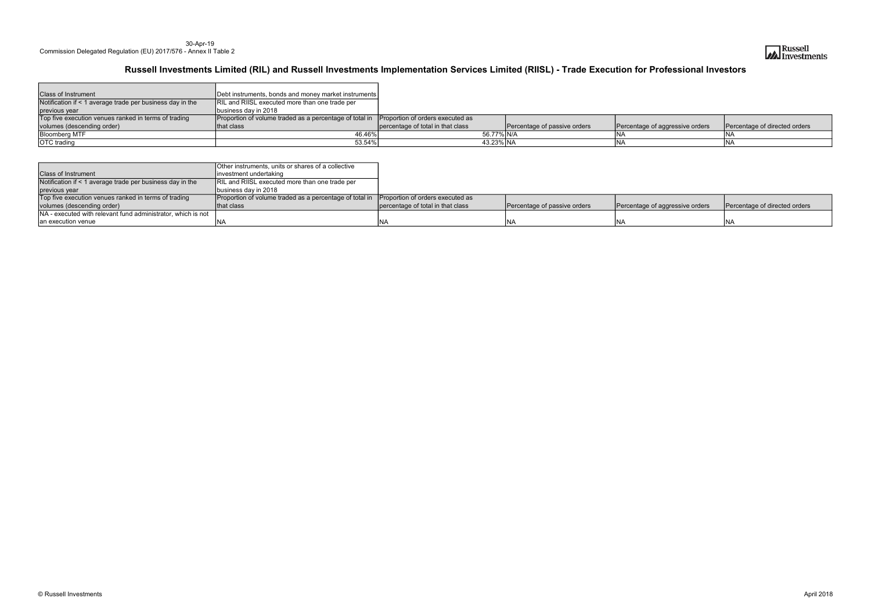#### 30-Apr-19 Commission Delegated Regulation (EU) 2017/576 - Annex II Table 2

| <b>Class of Instrument</b>                                | Debt instruments, bonds and money market instruments    |                                   |                              |                                 |                               |
|-----------------------------------------------------------|---------------------------------------------------------|-----------------------------------|------------------------------|---------------------------------|-------------------------------|
| Notification if < 1 average trade per business day in the | RIL and RIISL executed more than one trade per          |                                   |                              |                                 |                               |
| previous year                                             | business day in 2018                                    |                                   |                              |                                 |                               |
| Top five execution venues ranked in terms of trading      | Proportion of volume traded as a percentage of total in | Proportion of orders executed as  |                              |                                 |                               |
| volumes (descending order)                                | that class                                              | percentage of total in that class | Percentage of passive orders | Percentage of aggressive orders | Percentage of directed orders |
| <b>Bloomberg MTF</b>                                      | 46.46%l                                                 |                                   | 56.77% N/A                   |                                 |                               |
| <b>OTC</b> trading                                        | 53.54%                                                  |                                   | 43.23% NA                    |                                 |                               |

|                                                                                                                    | Other instruments, units or shares of a collective      |                                   |                              |                                 |                               |
|--------------------------------------------------------------------------------------------------------------------|---------------------------------------------------------|-----------------------------------|------------------------------|---------------------------------|-------------------------------|
| <b>Class of Instrument</b><br>linvestment undertaking                                                              |                                                         |                                   |                              |                                 |                               |
| Notification if < 1 average trade per business day in the<br><b>RIL and RIISL executed more than one trade per</b> |                                                         |                                   |                              |                                 |                               |
| Ibusiness day in 2018<br>previous year                                                                             |                                                         |                                   |                              |                                 |                               |
| Top five execution venues ranked in terms of trading                                                               | Proportion of volume traded as a percentage of total in | Proportion of orders executed as  |                              |                                 |                               |
| volumes (descending order)                                                                                         | Ithat class                                             | percentage of total in that class | Percentage of passive orders | Percentage of aggressive orders | Percentage of directed orders |
| INA - executed with relevant fund administrator, which is not                                                      |                                                         |                                   |                              |                                 |                               |
| an execution venue                                                                                                 |                                                         | NA                                | <b>INA</b>                   |                                 |                               |



| aggressive orders | Percentage of directed orders |
|-------------------|-------------------------------|
|                   |                               |
|                   |                               |

## Russell Investments Limited (RIL) and Russell Investments Implementation Services Limited (RIISL) - Trade Execution for Professional Investors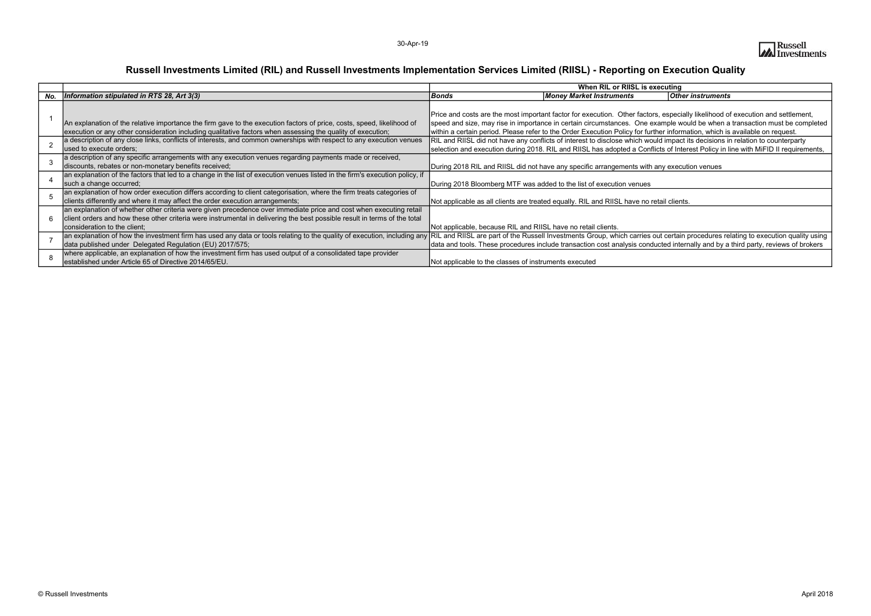|     |                                                                                                                                                                                                                            | When RIL or RIISL is executing                                                                        |
|-----|----------------------------------------------------------------------------------------------------------------------------------------------------------------------------------------------------------------------------|-------------------------------------------------------------------------------------------------------|
| No. | Information stipulated in RTS 28, Art 3(3)                                                                                                                                                                                 | Bonds<br><b>Other instruments</b><br><b>Money Market Instruments</b>                                  |
|     |                                                                                                                                                                                                                            |                                                                                                       |
|     |                                                                                                                                                                                                                            | Price and costs are the most important factor for execution. Other factors, especially likelihood of  |
|     | An explanation of the relative importance the firm gave to the execution factors of price, costs, speed, likelihood of                                                                                                     | speed and size, may rise in importance in certain circumstances. One example would be when a          |
|     | execution or any other consideration including qualitative factors when assessing the quality of execution;                                                                                                                | within a certain period. Please refer to the Order Execution Policy for further information, which is |
|     | a description of any close links, conflicts of interests, and common ownerships with respect to any execution venues                                                                                                       | RIL and RIISL did not have any conflicts of interest to disclose which would impact its decisions ir  |
|     | used to execute orders;                                                                                                                                                                                                    | selection and execution during 2018. RIL and RIISL has adopted a Conflicts of Interest Policy in li   |
|     | a description of any specific arrangements with any execution venues regarding payments made or received,                                                                                                                  |                                                                                                       |
|     | discounts, rebates or non-monetary benefits received;                                                                                                                                                                      | During 2018 RIL and RIISL did not have any specific arrangements with any execution venues            |
|     | an explanation of the factors that led to a change in the list of execution venues listed in the firm's execution policy, if                                                                                               |                                                                                                       |
|     | such a change occurred;                                                                                                                                                                                                    | During 2018 Bloomberg MTF was added to the list of execution venues                                   |
|     | an explanation of how order execution differs according to client categorisation, where the firm treats categories of                                                                                                      |                                                                                                       |
|     | clients differently and where it may affect the order execution arrangements;                                                                                                                                              | Not applicable as all clients are treated equally. RIL and RIISL have no retail clients.              |
|     | an explanation of whether other criteria were given precedence over immediate price and cost when executing retail                                                                                                         |                                                                                                       |
| 6   | client orders and how these other criteria were instrumental in delivering the best possible result in terms of the total                                                                                                  |                                                                                                       |
|     | consideration to the client;                                                                                                                                                                                               | Not applicable, because RIL and RIISL have no retail clients.                                         |
|     | an explanation of how the investment firm has used any data or tools relating to the quality of execution, including any RIL and RIISL are part of the Russell Investments Group, which carries out certain procedures rel |                                                                                                       |
|     | data published under Delegated Regulation (EU) 2017/575;                                                                                                                                                                   | data and tools. These procedures include transaction cost analysis conducted internally and by a      |
|     | where applicable, an explanation of how the investment firm has used output of a consolidated tape provider                                                                                                                |                                                                                                       |
|     | established under Article 65 of Directive 2014/65/EU.                                                                                                                                                                      | Not applicable to the classes of instruments executed                                                 |



## ecuting

especially likelihood of execution and settlement, ample would be when a transaction must be completed er information, which is available on request. Id impact its decisions in relation to counterparty cts of Interest Policy in line with MiFID II requirements,

at certain procedures relating to execution quality using cted internally and by a third party, reviews of brokers

## Russell Investments Limited (RIL) and Russell Investments Implementation Services Limited (RIISL) - Reporting on Execution Quality